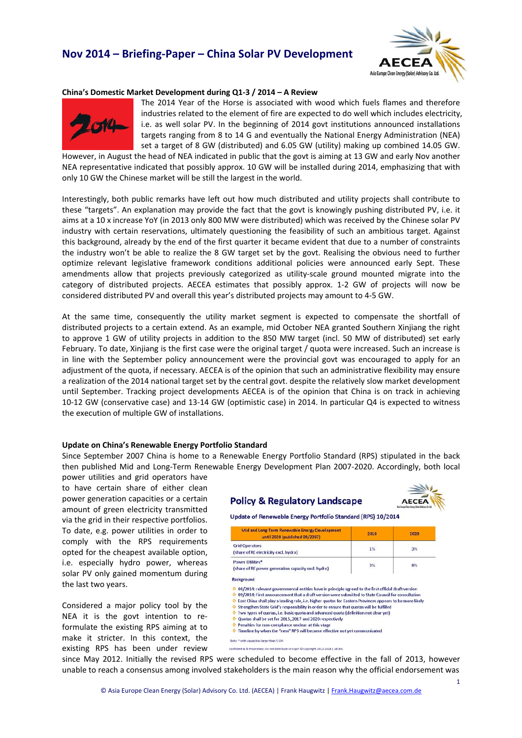# **Nov 2014 – Briefing‐Paper – China Solar PV Development**



#### **China's Domestic Market Development during Q1‐3 / 2014 – A Review**



The 2014 Year of the Horse is associated with wood which fuels flames and therefore industries related to the element of fire are expected to do well which includes electricity, i.e. as well solar PV. In the beginning of 2014 govt institutions announced installations targets ranging from 8 to 14 G and eventually the National Energy Administration (NEA) set a target of 8 GW (distributed) and 6.05 GW (utility) making up combined 14.05 GW.

However, in August the head of NEA indicated in public that the govt is aiming at 13 GW and early Nov another NEA representative indicated that possibly approx. 10 GW will be installed during 2014, emphasizing that with only 10 GW the Chinese market will be still the largest in the world.

Interestingly, both public remarks have left out how much distributed and utility projects shall contribute to these "targets". An explanation may provide the fact that the govt is knowingly pushing distributed PV, i.e. it aims at a 10 x increase YoY (in 2013 only 800 MW were distributed) which was received by the Chinese solar PV industry with certain reservations, ultimately questioning the feasibility of such an ambitious target. Against this background, already by the end of the first quarter it became evident that due to a number of constraints the industry won't be able to realize the 8 GW target set by the govt. Realising the obvious need to further optimize relevant legislative framework conditions additional policies were announced early Sept. These amendments allow that projects previously categorized as utility-scale ground mounted migrate into the category of distributed projects. AECEA estimates that possibly approx. 1‐2 GW of projects will now be considered distributed PV and overall this year's distributed projects may amount to 4‐5 GW.

At the same time, consequently the utility market segment is expected to compensate the shortfall of distributed projects to a certain extend. As an example, mid October NEA granted Southern Xinjiang the right to approve 1 GW of utility projects in addition to the 850 MW target (incl. 50 MW of distributed) set early February. To date, Xinjiang is the first case were the original target / quota were increased. Such an increase is in line with the September policy announcement were the provincial govt was encouraged to apply for an adjustment of the quota, if necessary. AECEA is of the opinion that such an administrative flexibility may ensure a realization of the 2014 national target set by the central govt. despite the relatively slow market development until September. Tracking project developments AECEA is of the opinion that China is on track in achieving 10‐12 GW (conservative case) and 13‐14 GW (optimistic case) in 2014. In particular Q4 is expected to witness the execution of multiple GW of installations.

### **Update on China's Renewable Energy Portfolio Standard**

Since September 2007 China is home to a Renewable Energy Portfolio Standard (RPS) stipulated in the back then published Mid and Long‐Term Renewable Energy Development Plan 2007‐2020. Accordingly, both local

power utilities and grid operators have to have certain share of either clean power generation capacities or a certain amount of green electricity transmitted via the grid in their respective portfolios. To date, e.g. power utilities in order to comply with the RPS requirements opted for the cheapest available option, i.e. especially hydro power, whereas solar PV only gained momentum during the last two years.

Considered a major policy tool by the NEA it is the govt intention to re‐ formulate the existing RPS aiming at to make it stricter. In this context, the existing RPS has been under review

|  | <b>Policy &amp; Regulatory Landscape</b> |
|--|------------------------------------------|
|  |                                          |



Update of Renewable Energy Portfolio Standard (RPS) 10/2014

| Mid and Long-Term Renewable Energy Development<br>until 2020 (published 09/2007) | 2010 | 2020 |
|----------------------------------------------------------------------------------|------|------|
| <b>Grid Operators</b><br>(share of RE electricity excl. hydro)                   | 1%   | 3%   |
| Power Utilities*<br>(share of RE power generation capacity excl. hydro)          | 3%   | 8%   |

**Background** 

- $\div$  08/2014: relevant governmental entities have in principle agreed to the first official draft version
- 09/2014: First announcement that a draft version were submitted to State Council for consultation<br>East China shall play a leading role, i.e. higher quotas for Eastern Provinces appears to be more likely
- 
- Strengthen State Grid's responsibility in order to ensure that quotas will be fulfilled<br>Two types of quotas, i.e. basic quota and advanced quota (definition not clear yet)
- Ouotas shall be set for 2015, 2017 and 2020 respectively
- Penalties for non-compliance unclear at this stage Timeline by when the "new" RPS will become effective not yet communicated
- Note: \* with capacities larger than 5 GW
- Confidential & Proprietary: Do not distribute or copy! @ Copyright 2012-2014 | AECEA

since May 2012. Initially the revised RPS were scheduled to become effective in the fall of 2013, however unable to reach a consensus among involved stakeholders is the main reason why the official endorsement was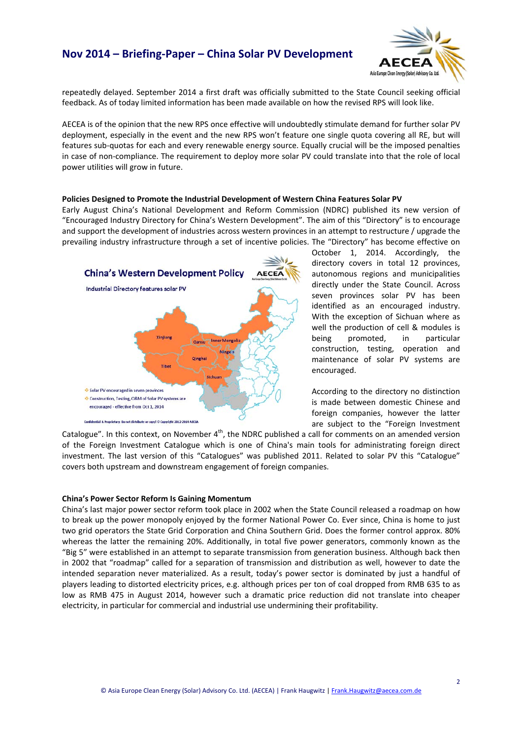## **Nov 2014 – Briefing‐Paper – China Solar PV Development**



repeatedly delayed. September 2014 a first draft was officially submitted to the State Council seeking official feedback. As of today limited information has been made available on how the revised RPS will look like.

AECEA is of the opinion that the new RPS once effective will undoubtedly stimulate demand for further solar PV deployment, especially in the event and the new RPS won't feature one single quota covering all RE, but will features sub-quotas for each and every renewable energy source. Equally crucial will be the imposed penalties in case of non‐compliance. The requirement to deploy more solar PV could translate into that the role of local power utilities will grow in future.

### **Policies Designed to Promote the Industrial Development of Western China Features Solar PV**

Early August China's National Development and Reform Commission (NDRC) published its new version of "Encouraged Industry Directory for China's Western Development". The aim of this "Directory" is to encourage and support the development of industries across western provinces in an attempt to restructure / upgrade the prevailing industry infrastructure through a set of incentive policies. The "Directory" has become effective on



October 1, 2014. Accordingly, the directory covers in total 12 provinces, autonomous regions and municipalities directly under the State Council. Across seven provinces solar PV has been identified as an encouraged industry. With the exception of Sichuan where as well the production of cell & modules is being promoted, in particular construction, testing, operation and maintenance of solar PV systems are encouraged.

According to the directory no distinction is made between domestic Chinese and foreign companies, however the latter are subject to the "Foreign Investment

Catalogue". In this context, on November  $4<sup>th</sup>$ , the NDRC published a call for comments on an amended version of the Foreign Investment Catalogue which is one of China's main tools for administrating foreign direct investment. The last version of this "Catalogues" was published 2011. Related to solar PV this "Catalogue" covers both upstream and downstream engagement of foreign companies.

### **China's Power Sector Reform Is Gaining Momentum**

China's last major power sector reform took place in 2002 when the State Council released a roadmap on how to break up the power monopoly enjoyed by the former National Power Co. Ever since, China is home to just two grid operators the State Grid Corporation and China Southern Grid. Does the former control approx. 80% whereas the latter the remaining 20%. Additionally, in total five power generators, commonly known as the "Big 5" were established in an attempt to separate transmission from generation business. Although back then in 2002 that "roadmap" called for a separation of transmission and distribution as well, however to date the intended separation never materialized. As a result, today's power sector is dominated by just a handful of players leading to distorted electricity prices, e.g. although prices per ton of coal dropped from RMB 635 to as low as RMB 475 in August 2014, however such a dramatic price reduction did not translate into cheaper electricity, in particular for commercial and industrial use undermining their profitability.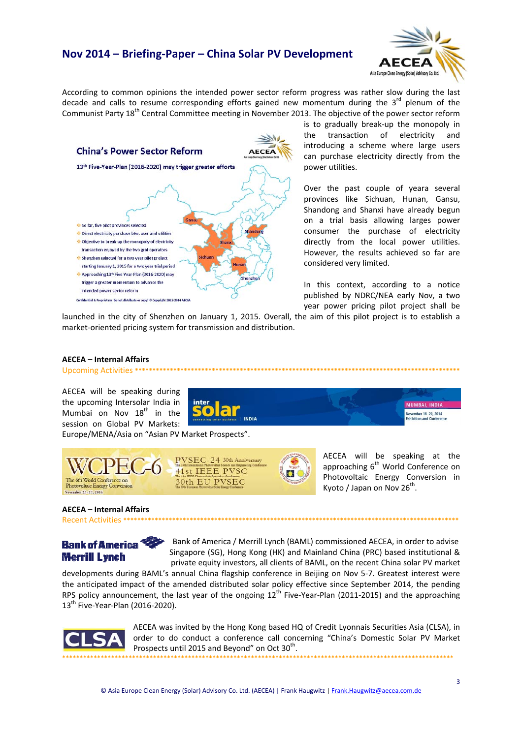# Nov 2014 - Briefing-Paper - China Solar PV Development



According to common opinions the intended power sector reform progress was rather slow during the last decade and calls to resume corresponding efforts gained new momentum during the 3<sup>rd</sup> plenum of the Communist Party 18<sup>th</sup> Central Committee meeting in November 2013. The objective of the power sector reform



is to gradually break-up the monopoly in transaction of electricity the and introducing a scheme where large users can purchase electricity directly from the power utilities.

Over the past couple of yeara several provinces like Sichuan. Hunan. Gansu. Shandong and Shanxi have already begun on a trial basis allowing larges power consumer the purchase of electricity directly from the local power utilities. However, the results achieved so far are considered very limited.

In this context, according to a notice published by NDRC/NEA early Nov, a two year power pricing pilot project shall be

launched in the city of Shenzhen on January 1, 2015. Overall, the aim of this pilot project is to establish a market-oriented pricing system for transmission and distribution.

### **AECEA - Internal Affairs**

Upcoming Activities \*\*\*\*\*\*\*\*\*\*\*\*\*\*

AECEA will be speaking during the upcoming Intersolar India in Mumbai on Nov 18<sup>th</sup> in the session on Global PV Markets:



Europe/MENA/Asia on "Asian PV Market Prospects".



\*\*\*\*\*\*\*\*\*\*\*\*\*\*\*\*\*\*\*\*\*\*\*\*\*\*\*\*\*\*

### **AECEA - Internal Affairs Recent Activities \*\*\*\*\*\***



Bank of America / Merrill Lynch (BAML) commissioned AECEA, in order to advise Singapore (SG), Hong Kong (HK) and Mainland China (PRC) based institutional & private equity investors, all clients of BAML, on the recent China solar PV market

developments during BAML's annual China flagship conference in Beijing on Nov 5-7. Greatest interest were the anticipated impact of the amended distributed solar policy effective since September 2014, the pending RPS policy announcement, the last year of the ongoing 12<sup>th</sup> Five-Year-Plan (2011-2015) and the approaching 13<sup>th</sup> Five-Year-Plan (2016-2020).



AECEA was invited by the Hong Kong based HQ of Credit Lyonnais Securities Asia (CLSA), in order to do conduct a conference call concerning "China's Domestic Solar PV Market Prospects until 2015 and Beyond" on Oct 30<sup>th</sup>.